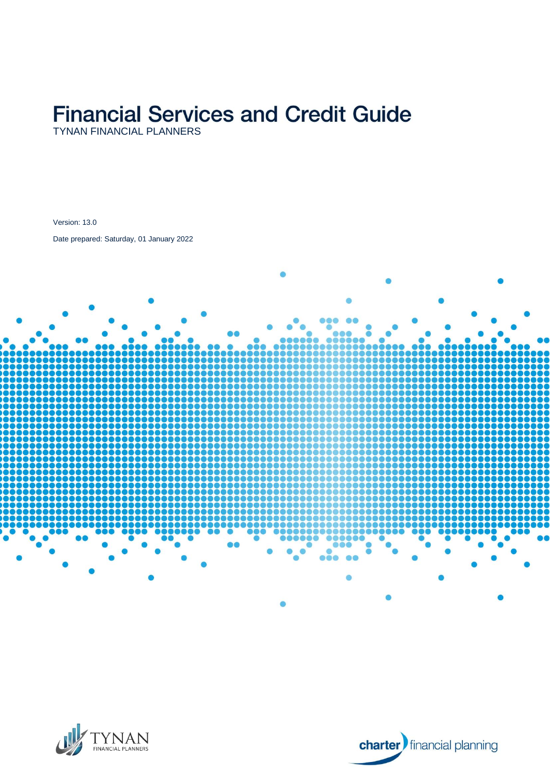# **Financial Services and Credit Guide**

Version: 13.0

Date prepared: Saturday, 01 January 2022





**charter** financial planning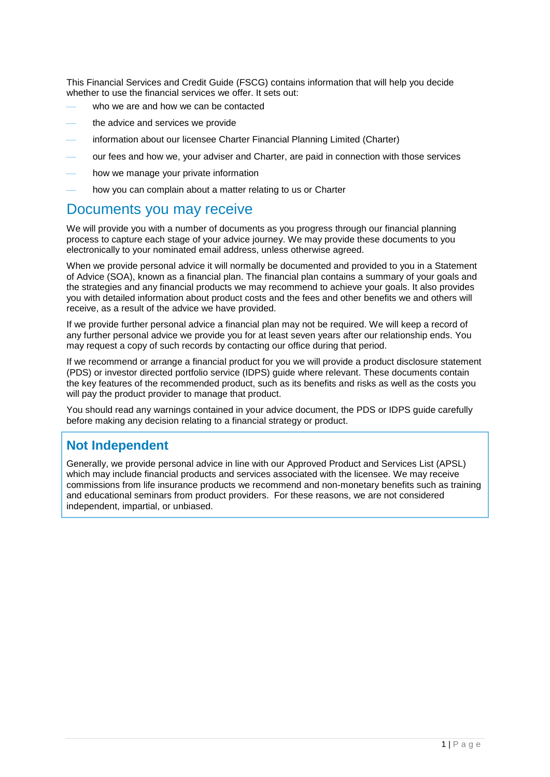This Financial Services and Credit Guide (FSCG) contains information that will help you decide whether to use the financial services we offer. It sets out:

- who we are and how we can be contacted
- the advice and services we provide
- information about our licensee Charter Financial Planning Limited (Charter)
- our fees and how we, your adviser and Charter, are paid in connection with those services
- how we manage your private information
- how you can complain about a matter relating to us or Charter

#### Documents you may receive

We will provide you with a number of documents as you progress through our financial planning process to capture each stage of your advice journey. We may provide these documents to you electronically to your nominated email address, unless otherwise agreed.

When we provide personal advice it will normally be documented and provided to you in a Statement of Advice (SOA), known as a financial plan. The financial plan contains a summary of your goals and the strategies and any financial products we may recommend to achieve your goals. It also provides you with detailed information about product costs and the fees and other benefits we and others will receive, as a result of the advice we have provided.

If we provide further personal advice a financial plan may not be required. We will keep a record of any further personal advice we provide you for at least seven years after our relationship ends. You may request a copy of such records by contacting our office during that period.

If we recommend or arrange a financial product for you we will provide a product disclosure statement (PDS) or investor directed portfolio service (IDPS) guide where relevant. These documents contain the key features of the recommended product, such as its benefits and risks as well as the costs you will pay the product provider to manage that product.

You should read any warnings contained in your advice document, the PDS or IDPS guide carefully before making any decision relating to a financial strategy or product.

### **Not Independent**

Generally, we provide personal advice in line with our Approved Product and Services List (APSL) which may include financial products and services associated with the licensee. We may receive commissions from life insurance products we recommend and non-monetary benefits such as training and educational seminars from product providers. For these reasons, we are not considered independent, impartial, or unbiased.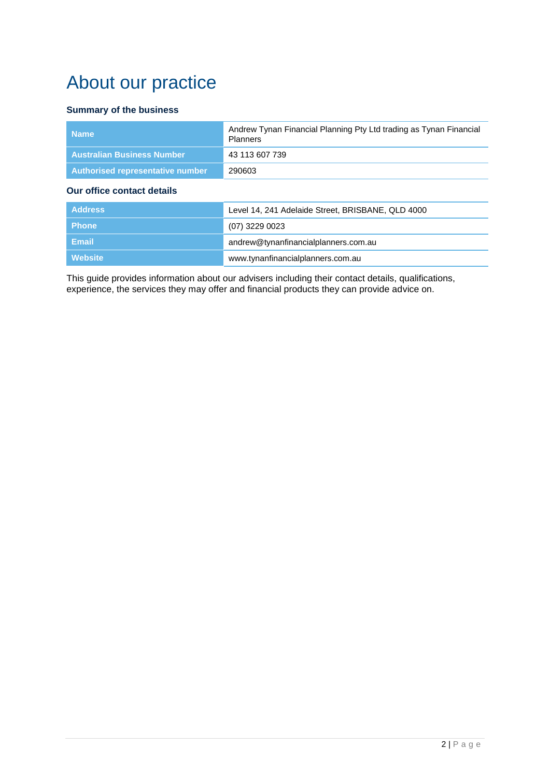# About our practice

#### **Summary of the business**

| <b>Name</b>                       | Andrew Tynan Financial Planning Pty Ltd trading as Tynan Financial<br><b>Planners</b> |
|-----------------------------------|---------------------------------------------------------------------------------------|
| <b>Australian Business Number</b> | 43 113 607 739                                                                        |
| Authorised representative number  | 290603                                                                                |
|                                   |                                                                                       |

#### **Our office contact details**

| <b>Address</b> | Level 14, 241 Adelaide Street, BRISBANE, QLD 4000 |
|----------------|---------------------------------------------------|
| <b>Phone</b>   | $(07)$ 3229 0023                                  |
| Email          | andrew@tynanfinancialplanners.com.au              |
| Website        | www.tynanfinancialplanners.com.au                 |

This guide provides information about our advisers including their contact details, qualifications, experience, the services they may offer and financial products they can provide advice on.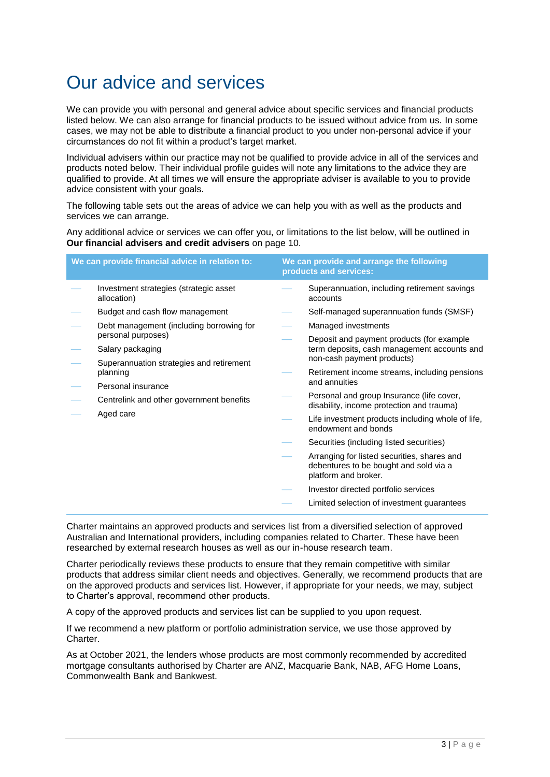# Our advice and services

We can provide you with personal and general advice about specific services and financial products listed below. We can also arrange for financial products to be issued without advice from us. In some cases, we may not be able to distribute a financial product to you under non-personal advice if your circumstances do not fit within a product's target market.

Individual advisers within our practice may not be qualified to provide advice in all of the services and products noted below. Their individual profile guides will note any limitations to the advice they are qualified to provide. At all times we will ensure the appropriate adviser is available to you to provide advice consistent with your goals.

The following table sets out the areas of advice we can help you with as well as the products and services we can arrange.

Any additional advice or services we can offer you, or limitations to the list below, will be outlined in **Our financial advisers and credit advisers** on page [10.](#page-10-0)

|           | We can provide financial advice in relation to:                                                               | We can provide and arrange the following<br>products and services:                     |
|-----------|---------------------------------------------------------------------------------------------------------------|----------------------------------------------------------------------------------------|
|           | Investment strategies (strategic asset<br>allocation)                                                         | Superannuation, including retirement savings<br>accounts                               |
|           | Budget and cash flow management                                                                               | Self-managed superannuation funds (SMSF)                                               |
|           | Debt management (including borrowing for                                                                      | Managed investments                                                                    |
|           | personal purposes)                                                                                            | Deposit and payment products (for example                                              |
|           | Salary packaging                                                                                              | term deposits, cash management accounts and<br>non-cash payment products)              |
|           | Superannuation strategies and retirement<br>planning                                                          | Retirement income streams, including pensions                                          |
|           | Personal insurance<br>Centrelink and other government benefits                                                | and annuities                                                                          |
|           |                                                                                                               | Personal and group Insurance (life cover,<br>disability, income protection and trauma) |
| Aged care | Life investment products including whole of life,<br>endowment and bonds                                      |                                                                                        |
|           |                                                                                                               | Securities (including listed securities)                                               |
|           | Arranging for listed securities, shares and<br>debentures to be bought and sold via a<br>platform and broker. |                                                                                        |
|           |                                                                                                               | Investor directed portfolio services                                                   |
|           |                                                                                                               | Limited selection of investment guarantees                                             |
|           |                                                                                                               |                                                                                        |

Charter maintains an approved products and services list from a diversified selection of approved Australian and International providers, including companies related to Charter. These have been researched by external research houses as well as our in-house research team.

Charter periodically reviews these products to ensure that they remain competitive with similar products that address similar client needs and objectives. Generally, we recommend products that are on the approved products and services list. However, if appropriate for your needs, we may, subject to Charter's approval, recommend other products.

A copy of the approved products and services list can be supplied to you upon request.

If we recommend a new platform or portfolio administration service, we use those approved by Charter.

As at October 2021, the lenders whose products are most commonly recommended by accredited mortgage consultants authorised by Charter are ANZ, Macquarie Bank, NAB, AFG Home Loans, Commonwealth Bank and Bankwest.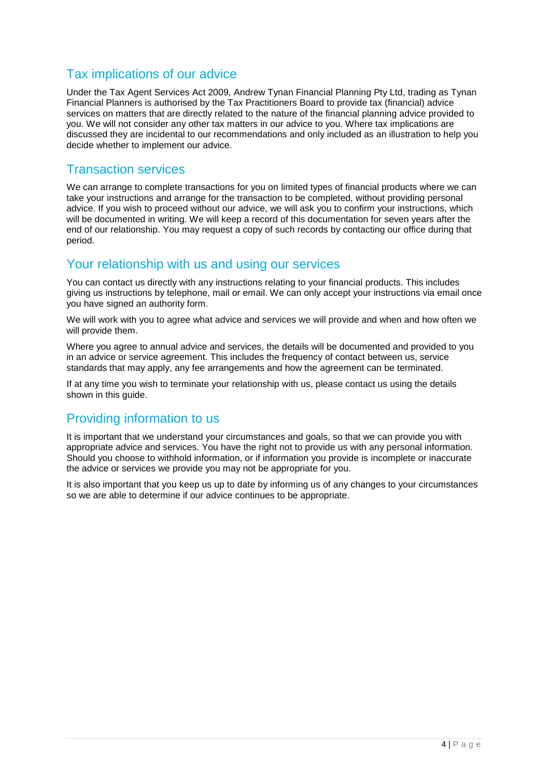### Tax implications of our advice

Under the Tax Agent Services Act 2009, Andrew Tynan Financial Planning Pty Ltd, trading as Tynan Financial Planners is authorised by the Tax Practitioners Board to provide tax (financial) advice services on matters that are directly related to the nature of the financial planning advice provided to you. We will not consider any other tax matters in our advice to you. Where tax implications are discussed they are incidental to our recommendations and only included as an illustration to help you decide whether to implement our advice.

#### Transaction services

We can arrange to complete transactions for you on limited types of financial products where we can take your instructions and arrange for the transaction to be completed, without providing personal advice. If you wish to proceed without our advice, we will ask you to confirm your instructions, which will be documented in writing. We will keep a record of this documentation for seven years after the end of our relationship. You may request a copy of such records by contacting our office during that period.

#### Your relationship with us and using our services

You can contact us directly with any instructions relating to your financial products. This includes giving us instructions by telephone, mail or email. We can only accept your instructions via email once you have signed an authority form.

We will work with you to agree what advice and services we will provide and when and how often we will provide them.

Where you agree to annual advice and services, the details will be documented and provided to you in an advice or service agreement. This includes the frequency of contact between us, service standards that may apply, any fee arrangements and how the agreement can be terminated.

If at any time you wish to terminate your relationship with us, please contact us using the details shown in this guide.

#### Providing information to us

It is important that we understand your circumstances and goals, so that we can provide you with appropriate advice and services. You have the right not to provide us with any personal information. Should you choose to withhold information, or if information you provide is incomplete or inaccurate the advice or services we provide you may not be appropriate for you.

It is also important that you keep us up to date by informing us of any changes to your circumstances so we are able to determine if our advice continues to be appropriate.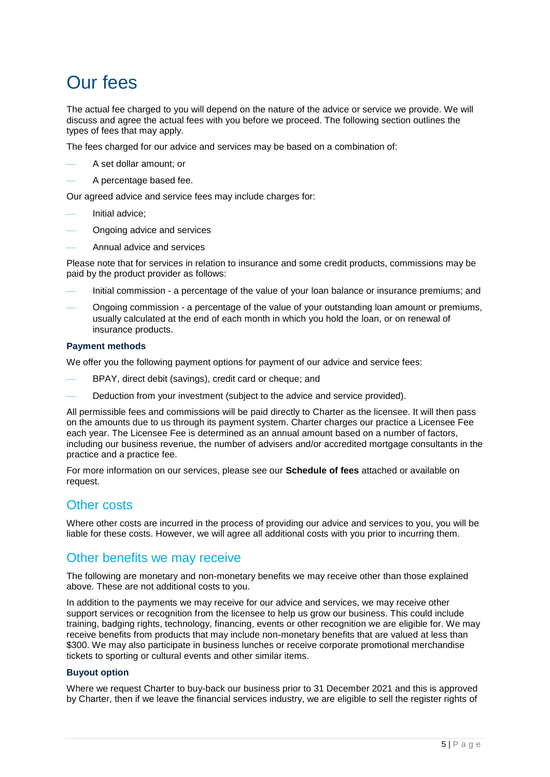# Our fees

The actual fee charged to you will depend on the nature of the advice or service we provide. We will discuss and agree the actual fees with you before we proceed. The following section outlines the types of fees that may apply.

The fees charged for our advice and services may be based on a combination of:

- A set dollar amount; or
- A percentage based fee.

Our agreed advice and service fees may include charges for:

- Initial advice;
- Ongoing advice and services
- Annual advice and services

Please note that for services in relation to insurance and some credit products, commissions may be paid by the product provider as follows:

- Initial commission a percentage of the value of your loan balance or insurance premiums; and
- Ongoing commission a percentage of the value of your outstanding loan amount or premiums, usually calculated at the end of each month in which you hold the loan, or on renewal of insurance products.

#### **Payment methods**

We offer you the following payment options for payment of our advice and service fees:

- BPAY, direct debit (savings), credit card or cheque; and
- Deduction from your investment (subject to the advice and service provided).

All permissible fees and commissions will be paid directly to Charter as the licensee. It will then pass on the amounts due to us through its payment system. Charter charges our practice a Licensee Fee each year. The Licensee Fee is determined as an annual amount based on a number of factors, including our business revenue, the number of advisers and/or accredited mortgage consultants in the practice and a practice fee.

For more information on our services, please see our **Schedule of fees** attached or available on request.

#### Other costs

Where other costs are incurred in the process of providing our advice and services to you, you will be liable for these costs. However, we will agree all additional costs with you prior to incurring them.

#### Other benefits we may receive

The following are monetary and non-monetary benefits we may receive other than those explained above. These are not additional costs to you.

In addition to the payments we may receive for our advice and services, we may receive other support services or recognition from the licensee to help us grow our business. This could include training, badging rights, technology, financing, events or other recognition we are eligible for. We may receive benefits from products that may include non-monetary benefits that are valued at less than \$300. We may also participate in business lunches or receive corporate promotional merchandise tickets to sporting or cultural events and other similar items.

#### **Buyout option**

Where we request Charter to buy-back our business prior to 31 December 2021 and this is approved by Charter, then if we leave the financial services industry, we are eligible to sell the register rights of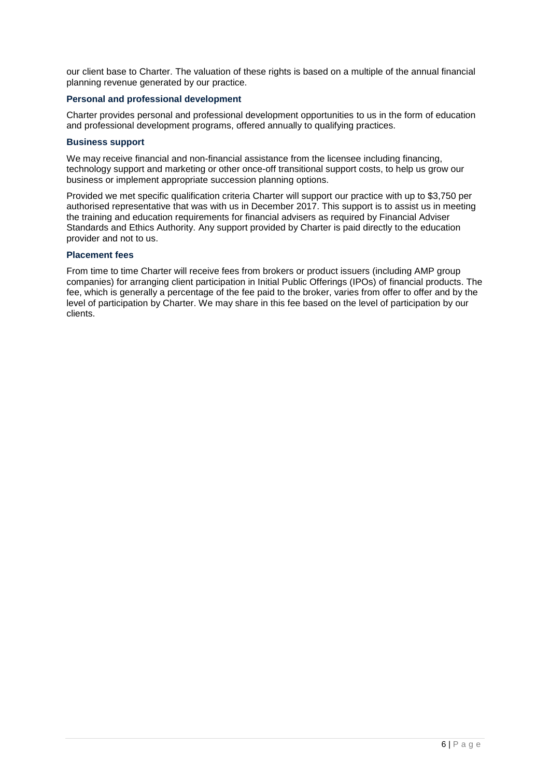our client base to Charter. The valuation of these rights is based on a multiple of the annual financial planning revenue generated by our practice.

#### **Personal and professional development**

Charter provides personal and professional development opportunities to us in the form of education and professional development programs, offered annually to qualifying practices.

#### **Business support**

We may receive financial and non-financial assistance from the licensee including financing. technology support and marketing or other once-off transitional support costs, to help us grow our business or implement appropriate succession planning options.

Provided we met specific qualification criteria Charter will support our practice with up to \$3,750 per authorised representative that was with us in December 2017. This support is to assist us in meeting the training and education requirements for financial advisers as required by Financial Adviser Standards and Ethics Authority. Any support provided by Charter is paid directly to the education provider and not to us.

#### **Placement fees**

From time to time Charter will receive fees from brokers or product issuers (including AMP group companies) for arranging client participation in Initial Public Offerings (IPOs) of financial products. The fee, which is generally a percentage of the fee paid to the broker, varies from offer to offer and by the level of participation by Charter. We may share in this fee based on the level of participation by our clients.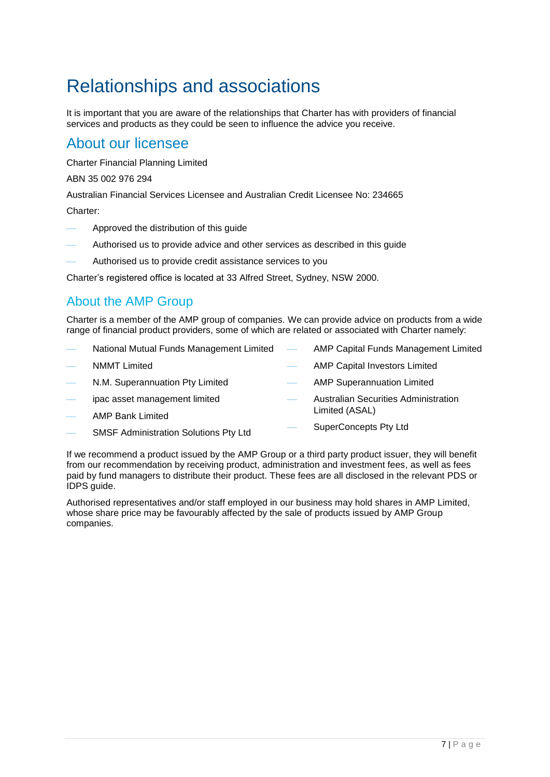# Relationships and associations

It is important that you are aware of the relationships that Charter has with providers of financial services and products as they could be seen to influence the advice you receive.

### About our licensee

Charter Financial Planning Limited

ABN 35 002 976 294

Australian Financial Services Licensee and Australian Credit Licensee No: 234665

Charter:

- Approved the distribution of this guide
- Authorised us to provide advice and other services as described in this guide
- Authorised us to provide credit assistance services to you

Charter's registered office is located at 33 Alfred Street, Sydney, NSW 2000.

### About the AMP Group

Charter is a member of the AMP group of companies. We can provide advice on products from a wide range of financial product providers, some of which are related or associated with Charter namely:

- National Mutual Funds Management Limited NMMT Limited N.M. Superannuation Pty Limited ipac asset management limited AMP Bank Limited AMP Capital Funds Management Limited AMP Capital Investors Limited AMP Superannuation Limited Australian Securities Administration Limited (ASAL) SuperConcepts Pty Ltd
- SMSF Administration Solutions Pty Ltd

If we recommend a product issued by the AMP Group or a third party product issuer, they will benefit from our recommendation by receiving product, administration and investment fees, as well as fees paid by fund managers to distribute their product. These fees are all disclosed in the relevant PDS or IDPS guide.

Authorised representatives and/or staff employed in our business may hold shares in AMP Limited, whose share price may be favourably affected by the sale of products issued by AMP Group companies.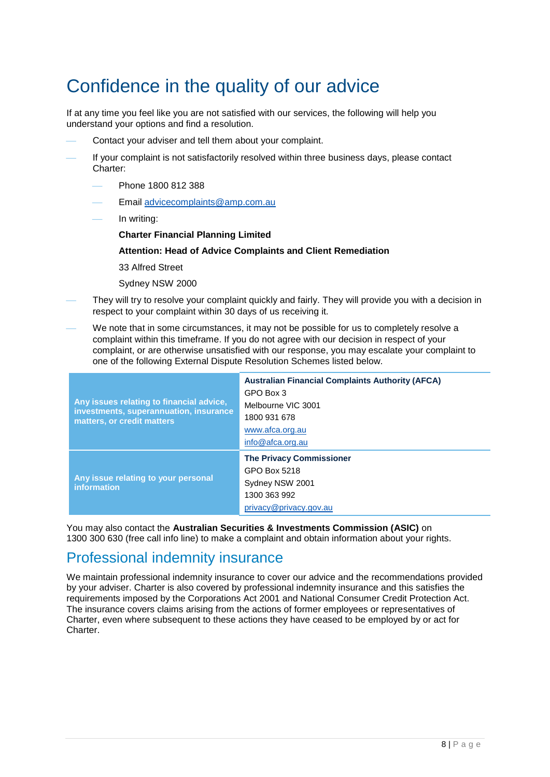# Confidence in the quality of our advice

If at any time you feel like you are not satisfied with our services, the following will help you understand your options and find a resolution.

- Contact your adviser and tell them about your complaint.
- If your complaint is not satisfactorily resolved within three business days, please contact Charter:
	- Phone 1800 812 388
	- Email [advicecomplaints@amp.com.au](mailto:advicecomplaints@amp.com.au)
	- In writing:
		- **Charter Financial Planning Limited**

#### **Attention: Head of Advice Complaints and Client Remediation**

33 Alfred Street

Sydney NSW 2000

- They will try to resolve your complaint quickly and fairly. They will provide you with a decision in respect to your complaint within 30 days of us receiving it.
- We note that in some circumstances, it may not be possible for us to completely resolve a complaint within this timeframe. If you do not agree with our decision in respect of your complaint, or are otherwise unsatisfied with our response, you may escalate your complaint to one of the following External Dispute Resolution Schemes listed below.

| Any issues relating to financial advice,<br>investments, superannuation, insurance<br>matters, or credit matters | <b>Australian Financial Complaints Authority (AFCA)</b><br>GPO Box 3<br>Melbourne VIC 3001<br>1800 931 678<br>www.afca.org.au<br>info@afca.org.au |
|------------------------------------------------------------------------------------------------------------------|---------------------------------------------------------------------------------------------------------------------------------------------------|
| Any issue relating to your personal<br><b>information</b>                                                        | <b>The Privacy Commissioner</b><br>GPO Box 5218<br>Sydney NSW 2001<br>1300 363 992<br>privacy@privacy.gov.au                                      |

You may also contact the **Australian Securities & Investments Commission (ASIC)** on 1300 300 630 (free call info line) to make a complaint and obtain information about your rights.

# Professional indemnity insurance

We maintain professional indemnity insurance to cover our advice and the recommendations provided by your adviser. Charter is also covered by professional indemnity insurance and this satisfies the requirements imposed by the Corporations Act 2001 and National Consumer Credit Protection Act. The insurance covers claims arising from the actions of former employees or representatives of Charter, even where subsequent to these actions they have ceased to be employed by or act for Charter.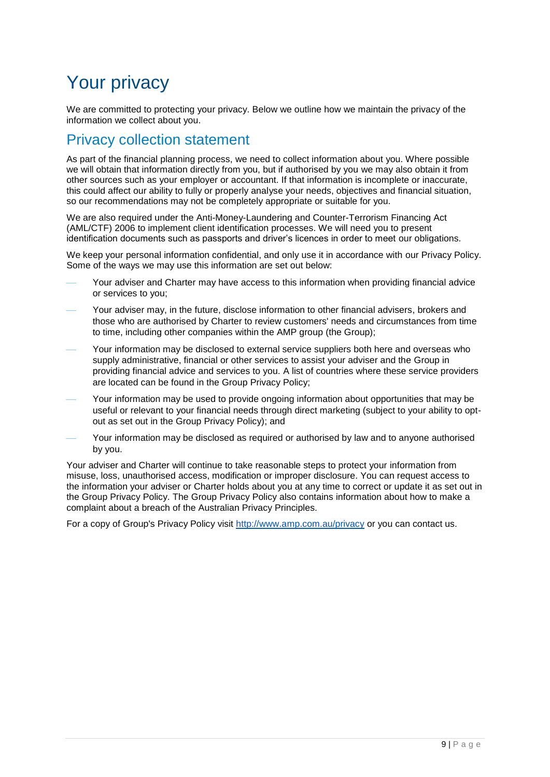# Your privacy

We are committed to protecting your privacy. Below we outline how we maintain the privacy of the information we collect about you.

### Privacy collection statement

As part of the financial planning process, we need to collect information about you. Where possible we will obtain that information directly from you, but if authorised by you we may also obtain it from other sources such as your employer or accountant. If that information is incomplete or inaccurate, this could affect our ability to fully or properly analyse your needs, objectives and financial situation, so our recommendations may not be completely appropriate or suitable for you.

We are also required under the Anti-Money-Laundering and Counter-Terrorism Financing Act (AML/CTF) 2006 to implement client identification processes. We will need you to present identification documents such as passports and driver's licences in order to meet our obligations.

We keep your personal information confidential, and only use it in accordance with our Privacy Policy. Some of the ways we may use this information are set out below:

- Your adviser and Charter may have access to this information when providing financial advice or services to you;
- Your adviser may, in the future, disclose information to other financial advisers, brokers and those who are authorised by Charter to review customers' needs and circumstances from time to time, including other companies within the AMP group (the Group);
- Your information may be disclosed to external service suppliers both here and overseas who supply administrative, financial or other services to assist your adviser and the Group in providing financial advice and services to you. A list of countries where these service providers are located can be found in the Group Privacy Policy;
- Your information may be used to provide ongoing information about opportunities that may be useful or relevant to your financial needs through direct marketing (subject to your ability to optout as set out in the Group Privacy Policy); and
- Your information may be disclosed as required or authorised by law and to anyone authorised by you.

Your adviser and Charter will continue to take reasonable steps to protect your information from misuse, loss, unauthorised access, modification or improper disclosure. You can request access to the information your adviser or Charter holds about you at any time to correct or update it as set out in the Group Privacy Policy. The Group Privacy Policy also contains information about how to make a complaint about a breach of the Australian Privacy Principles.

For a copy of Group's Privacy Policy visit <http://www.amp.com.au/privacy> or you can contact us.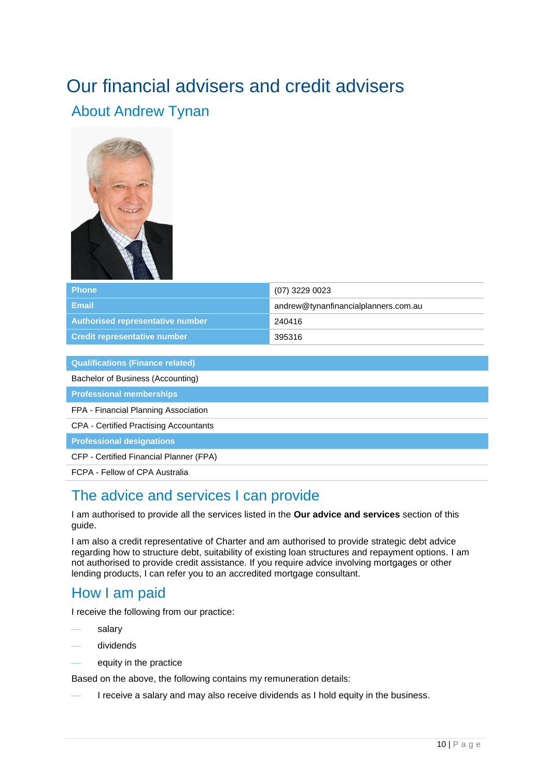# <span id="page-10-0"></span>Our financial advisers and credit advisers About Andrew Tynan



| Phone                               | (07) 3229 0023                       |
|-------------------------------------|--------------------------------------|
| Email                               | andrew@tynanfinancialplanners.com.au |
| Authorised representative number    | 240416                               |
| <b>Credit representative number</b> | 395316                               |

**Qualifications (Finance related)**

Bachelor of Business (Accounting)

**Professional memberships**

FPA - Financial Planning Association

CPA - Certified Practising Accountants

**Professional designations**

CFP - Certified Financial Planner (FPA)

FCPA - Fellow of CPA Australia

### The advice and services I can provide

I am authorised to provide all the services listed in the **Our advice and services** section of this guide.

I am also a credit representative of Charter and am authorised to provide strategic debt advice regarding how to structure debt, suitability of existing loan structures and repayment options. I am not authorised to provide credit assistance. If you require advice involving mortgages or other lending products, I can refer you to an accredited mortgage consultant.

#### How I am paid

I receive the following from our practice:

- salary
- dividends
	- equity in the practice

Based on the above, the following contains my remuneration details:

I receive a salary and may also receive dividends as I hold equity in the business.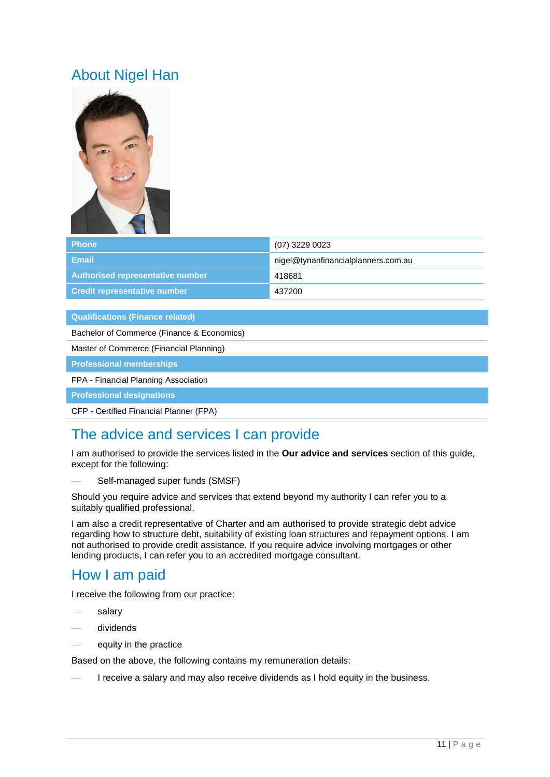# About Nigel Han



| <b>Phone</b>                        | (07) 3229 0023                      |
|-------------------------------------|-------------------------------------|
| Email                               | nigel@tynanfinancialplanners.com.au |
| Authorised representative number    | 418681                              |
| <b>Credit representative number</b> | 437200                              |

#### **Qualifications (Finance related)**

Bachelor of Commerce (Finance & Economics)

Master of Commerce (Financial Planning)

**Professional memberships**

#### FPA - Financial Planning Association

**Professional designations**

CFP - Certified Financial Planner (FPA)

# The advice and services I can provide

I am authorised to provide the services listed in the **Our advice and services** section of this guide, except for the following:

Self-managed super funds (SMSF)

Should you require advice and services that extend beyond my authority I can refer you to a suitably qualified professional.

I am also a credit representative of Charter and am authorised to provide strategic debt advice regarding how to structure debt, suitability of existing loan structures and repayment options. I am not authorised to provide credit assistance. If you require advice involving mortgages or other lending products, I can refer you to an accredited mortgage consultant.

### How I am paid

I receive the following from our practice:

- salary
- dividends
- equity in the practice

Based on the above, the following contains my remuneration details:

I receive a salary and may also receive dividends as I hold equity in the business.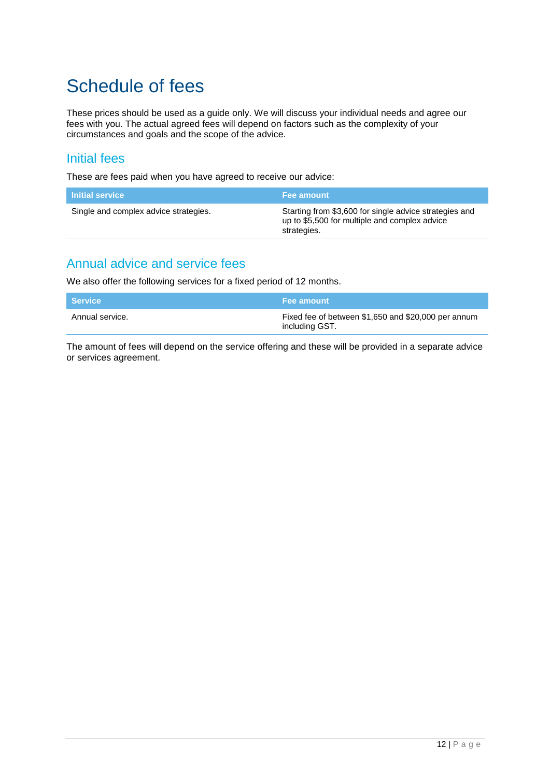# Schedule of fees

These prices should be used as a guide only. We will discuss your individual needs and agree our fees with you. The actual agreed fees will depend on factors such as the complexity of your circumstances and goals and the scope of the advice.

#### Initial fees

These are fees paid when you have agreed to receive our advice:

| <b>Initial service</b>                | Fee amount                                                                                                             |
|---------------------------------------|------------------------------------------------------------------------------------------------------------------------|
| Single and complex advice strategies. | Starting from \$3,600 for single advice strategies and<br>up to \$5,500 for multiple and complex advice<br>strategies. |

### Annual advice and service fees

We also offer the following services for a fixed period of 12 months.

| <b>Service</b>  | <b>Fee amount</b>                                                     |
|-----------------|-----------------------------------------------------------------------|
| Annual service. | Fixed fee of between \$1,650 and \$20,000 per annum<br>including GST. |

The amount of fees will depend on the service offering and these will be provided in a separate advice or services agreement.